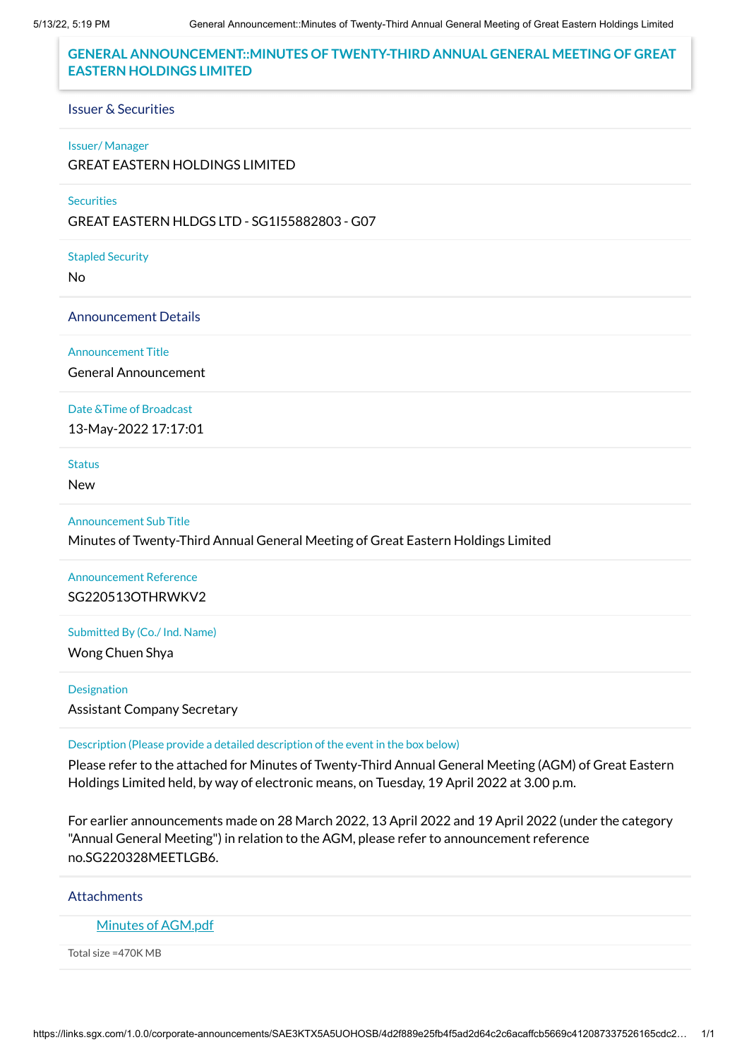#### **GENERAL ANNOUNCEMENT::MINUTES OF TWENTY-THIRD ANNUAL GENERAL MEETING OF GREAT EASTERN HOLDINGS LIMITED**

#### Issuer & Securities

#### Issuer/ Manager

GREAT EASTERN HOLDINGS LIMITED

#### **Securities**

GREAT EASTERN HLDGS LTD - SG1I55882803 - G07

Stapled Security

No

Announcement Details

Announcement Title

General Announcement

Date &Time of Broadcast

13-May-2022 17:17:01

Status

New

Announcement Sub Title

Minutes of Twenty-Third Annual General Meeting of Great Eastern Holdings Limited

#### Announcement Reference SG220513OTHRWKV2

Submitted By (Co./ Ind. Name)

Wong Chuen Shya

#### Designation

Assistant Company Secretary

Description (Please provide a detailed description of the event in the box below)

Please refer to the attached for Minutes of Twenty-Third Annual General Meeting (AGM) of Great Eastern Holdings Limited held, by way of electronic means, on Tuesday, 19 April 2022 at 3.00 p.m.

For earlier announcements made on 28 March 2022, 13 April 2022 and 19 April 2022 (under the category "Annual General Meeting") in relation to the AGM, please refer to announcement reference no.SG220328MEETLGB6.

**Attachments** 

Minutes of [AGM.pdf](https://links.sgx.com/1.0.0/corporate-announcements/SAE3KTX5A5UOHOSB/717174_Minutes%20of%20AGM.pdf)

Total size =470K MB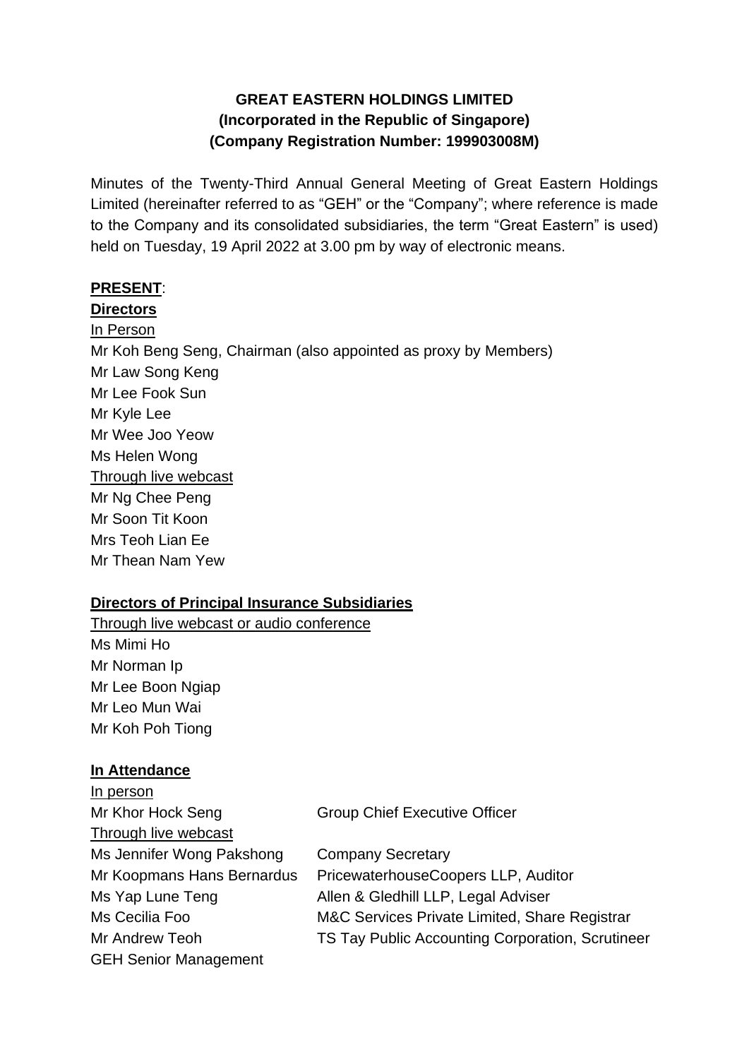# **GREAT EASTERN HOLDINGS LIMITED (Incorporated in the Republic of Singapore) (Company Registration Number: 199903008M)**

Minutes of the Twenty-Third Annual General Meeting of Great Eastern Holdings Limited (hereinafter referred to as "GEH" or the "Company"; where reference is made to the Company and its consolidated subsidiaries, the term "Great Eastern" is used) held on Tuesday, 19 April 2022 at 3.00 pm by way of electronic means.

### **PRESENT**:

**Directors**

In Person Mr Koh Beng Seng, Chairman (also appointed as proxy by Members) Mr Law Song Keng Mr Lee Fook Sun Mr Kyle Lee Mr Wee Joo Yeow Ms Helen Wong Through live webcast Mr Ng Chee Peng Mr Soon Tit Koon Mrs Teoh Lian Ee Mr Thean Nam Yew

#### **Directors of Principal Insurance Subsidiaries**

Through live webcast or audio conference Ms Mimi Ho Mr Norman Ip Mr Lee Boon Ngiap Mr Leo Mun Wai Mr Koh Poh Tiong

#### **In Attendance**

| In person                    |                                                  |
|------------------------------|--------------------------------------------------|
| Mr Khor Hock Seng            | <b>Group Chief Executive Officer</b>             |
| Through live webcast         |                                                  |
| Ms Jennifer Wong Pakshong    | <b>Company Secretary</b>                         |
| Mr Koopmans Hans Bernardus   | PricewaterhouseCoopers LLP, Auditor              |
| Ms Yap Lune Teng             | Allen & Gledhill LLP, Legal Adviser              |
| Ms Cecilia Foo               | M&C Services Private Limited, Share Registrar    |
| Mr Andrew Teoh               | TS Tay Public Accounting Corporation, Scrutineer |
| <b>GEH Senior Management</b> |                                                  |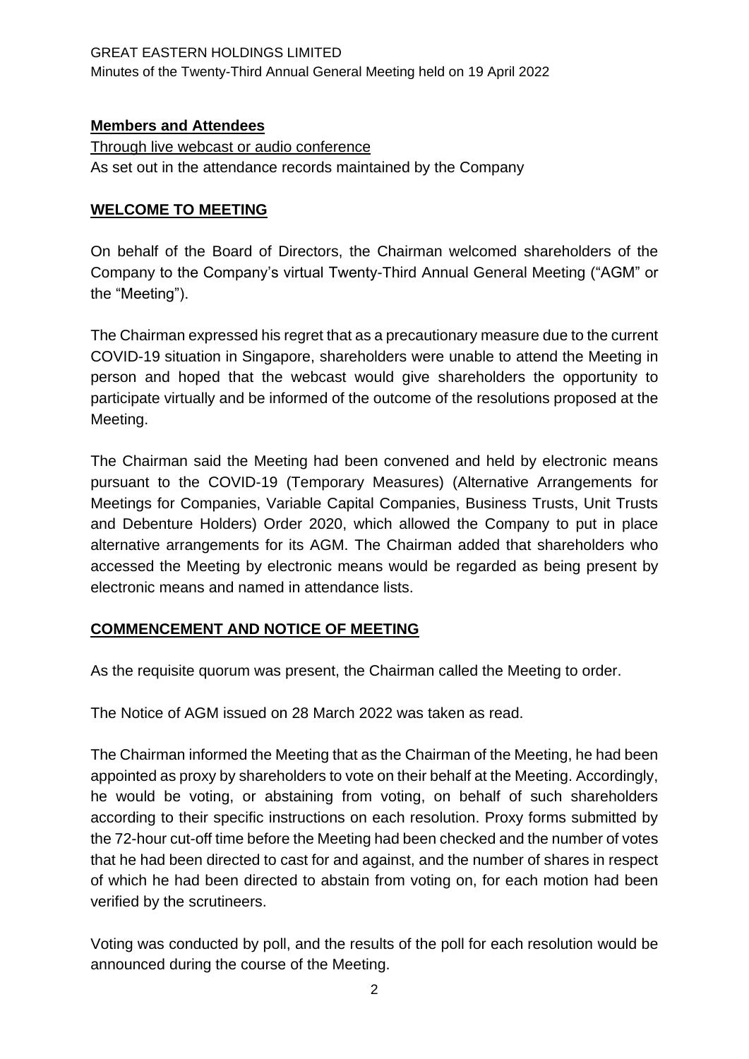### **Members and Attendees**

Through live webcast or audio conference As set out in the attendance records maintained by the Company

### **WELCOME TO MEETING**

On behalf of the Board of Directors, the Chairman welcomed shareholders of the Company to the Company's virtual Twenty-Third Annual General Meeting ("AGM" or the "Meeting").

The Chairman expressed his regret that as a precautionary measure due to the current COVID-19 situation in Singapore, shareholders were unable to attend the Meeting in person and hoped that the webcast would give shareholders the opportunity to participate virtually and be informed of the outcome of the resolutions proposed at the Meeting.

The Chairman said the Meeting had been convened and held by electronic means pursuant to the COVID-19 (Temporary Measures) (Alternative Arrangements for Meetings for Companies, Variable Capital Companies, Business Trusts, Unit Trusts and Debenture Holders) Order 2020, which allowed the Company to put in place alternative arrangements for its AGM. The Chairman added that shareholders who accessed the Meeting by electronic means would be regarded as being present by electronic means and named in attendance lists.

### **COMMENCEMENT AND NOTICE OF MEETING**

As the requisite quorum was present, the Chairman called the Meeting to order.

The Notice of AGM issued on 28 March 2022 was taken as read.

The Chairman informed the Meeting that as the Chairman of the Meeting, he had been appointed as proxy by shareholders to vote on their behalf at the Meeting. Accordingly, he would be voting, or abstaining from voting, on behalf of such shareholders according to their specific instructions on each resolution. Proxy forms submitted by the 72-hour cut-off time before the Meeting had been checked and the number of votes that he had been directed to cast for and against, and the number of shares in respect of which he had been directed to abstain from voting on, for each motion had been verified by the scrutineers.

Voting was conducted by poll, and the results of the poll for each resolution would be announced during the course of the Meeting.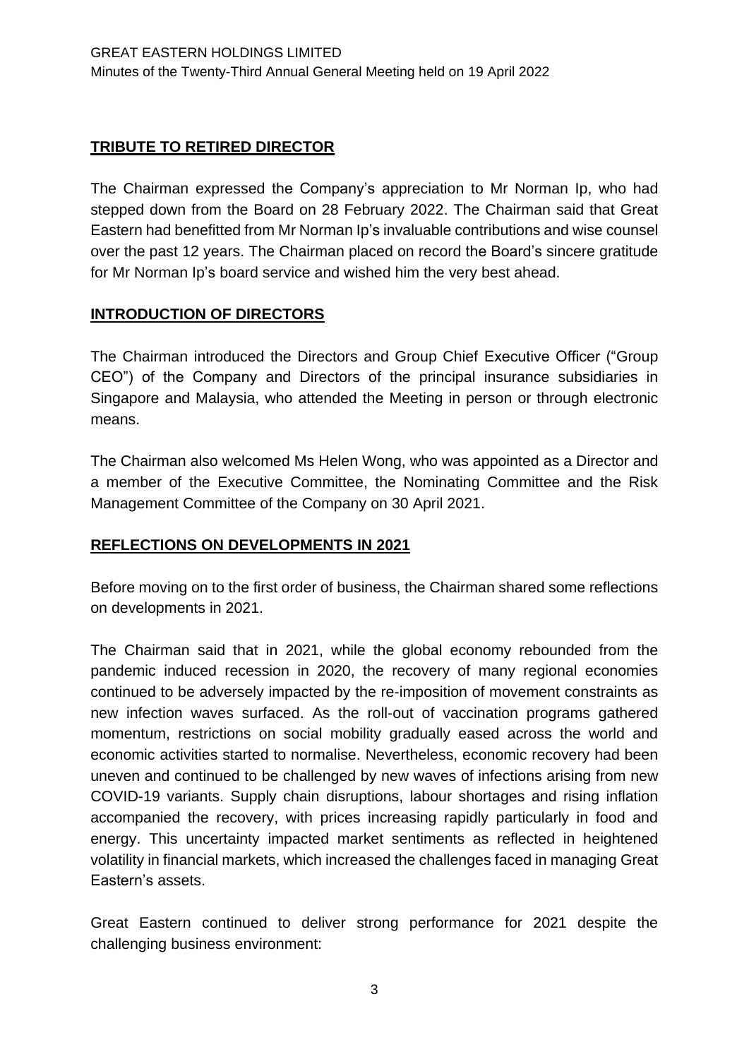# **TRIBUTE TO RETIRED DIRECTOR**

The Chairman expressed the Company's appreciation to Mr Norman Ip, who had stepped down from the Board on 28 February 2022. The Chairman said that Great Eastern had benefitted from Mr Norman Ip's invaluable contributions and wise counsel over the past 12 years. The Chairman placed on record the Board's sincere gratitude for Mr Norman Ip's board service and wished him the very best ahead.

# **INTRODUCTION OF DIRECTORS**

The Chairman introduced the Directors and Group Chief Executive Officer ("Group CEO") of the Company and Directors of the principal insurance subsidiaries in Singapore and Malaysia, who attended the Meeting in person or through electronic means.

The Chairman also welcomed Ms Helen Wong, who was appointed as a Director and a member of the Executive Committee, the Nominating Committee and the Risk Management Committee of the Company on 30 April 2021.

### **REFLECTIONS ON DEVELOPMENTS IN 2021**

Before moving on to the first order of business, the Chairman shared some reflections on developments in 2021.

The Chairman said that in 2021, while the global economy rebounded from the pandemic induced recession in 2020, the recovery of many regional economies continued to be adversely impacted by the re-imposition of movement constraints as new infection waves surfaced. As the roll-out of vaccination programs gathered momentum, restrictions on social mobility gradually eased across the world and economic activities started to normalise. Nevertheless, economic recovery had been uneven and continued to be challenged by new waves of infections arising from new COVID-19 variants. Supply chain disruptions, labour shortages and rising inflation accompanied the recovery, with prices increasing rapidly particularly in food and energy. This uncertainty impacted market sentiments as reflected in heightened volatility in financial markets, which increased the challenges faced in managing Great Eastern's assets.

Great Eastern continued to deliver strong performance for 2021 despite the challenging business environment: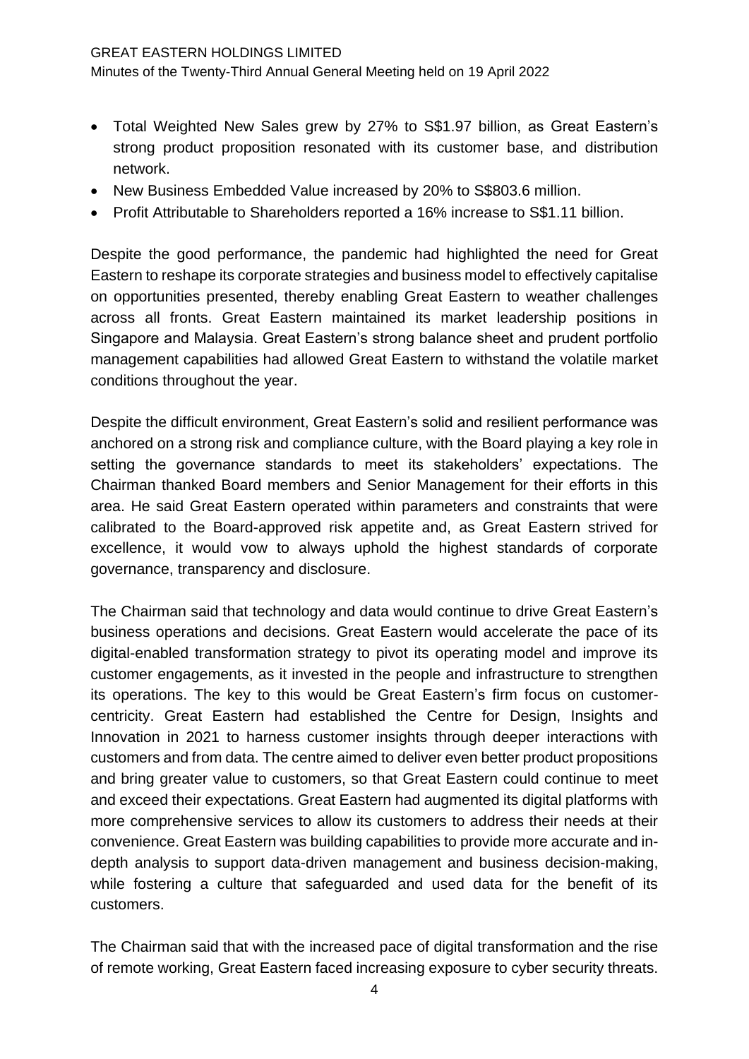#### GREAT EASTERN HOLDINGS LIMITED

Minutes of the Twenty-Third Annual General Meeting held on 19 April 2022

- Total Weighted New Sales grew by 27% to S\$1.97 billion, as Great Eastern's strong product proposition resonated with its customer base, and distribution network.
- New Business Embedded Value increased by 20% to S\$803.6 million.
- Profit Attributable to Shareholders reported a 16% increase to S\$1.11 billion.

Despite the good performance, the pandemic had highlighted the need for Great Eastern to reshape its corporate strategies and business model to effectively capitalise on opportunities presented, thereby enabling Great Eastern to weather challenges across all fronts. Great Eastern maintained its market leadership positions in Singapore and Malaysia. Great Eastern's strong balance sheet and prudent portfolio management capabilities had allowed Great Eastern to withstand the volatile market conditions throughout the year.

Despite the difficult environment, Great Eastern's solid and resilient performance was anchored on a strong risk and compliance culture, with the Board playing a key role in setting the governance standards to meet its stakeholders' expectations. The Chairman thanked Board members and Senior Management for their efforts in this area. He said Great Eastern operated within parameters and constraints that were calibrated to the Board-approved risk appetite and, as Great Eastern strived for excellence, it would vow to always uphold the highest standards of corporate governance, transparency and disclosure.

The Chairman said that technology and data would continue to drive Great Eastern's business operations and decisions. Great Eastern would accelerate the pace of its digital-enabled transformation strategy to pivot its operating model and improve its customer engagements, as it invested in the people and infrastructure to strengthen its operations. The key to this would be Great Eastern's firm focus on customercentricity. Great Eastern had established the Centre for Design, Insights and Innovation in 2021 to harness customer insights through deeper interactions with customers and from data. The centre aimed to deliver even better product propositions and bring greater value to customers, so that Great Eastern could continue to meet and exceed their expectations. Great Eastern had augmented its digital platforms with more comprehensive services to allow its customers to address their needs at their convenience. Great Eastern was building capabilities to provide more accurate and indepth analysis to support data-driven management and business decision-making, while fostering a culture that safeguarded and used data for the benefit of its customers.

The Chairman said that with the increased pace of digital transformation and the rise of remote working, Great Eastern faced increasing exposure to cyber security threats.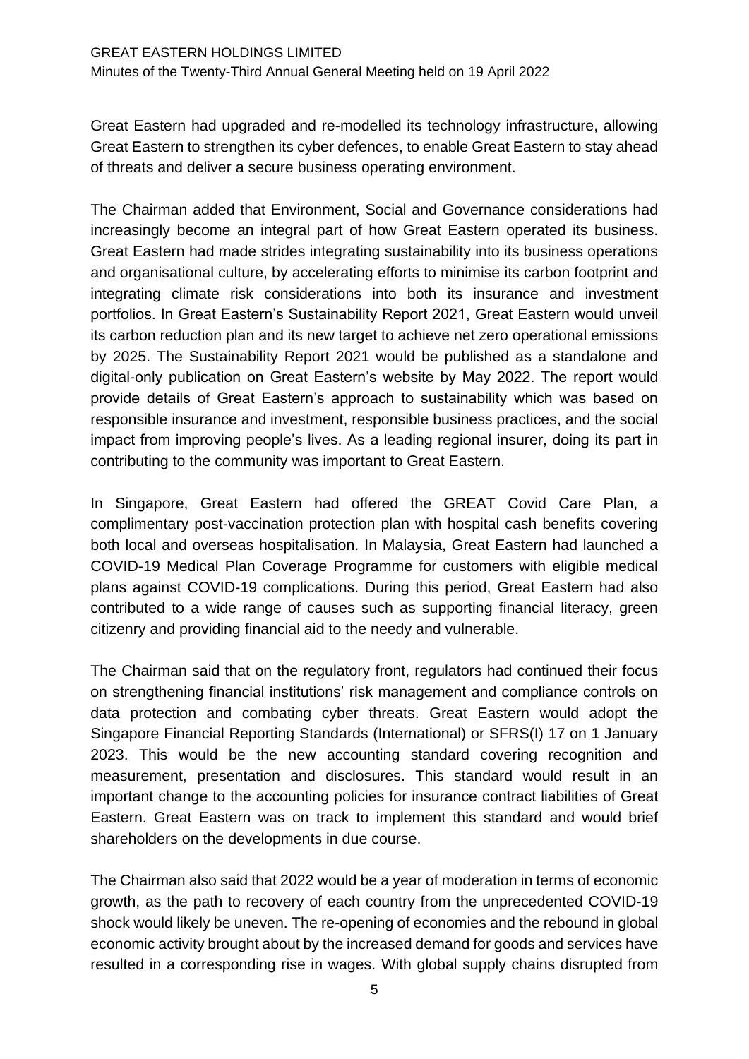Great Eastern had upgraded and re-modelled its technology infrastructure, allowing Great Eastern to strengthen its cyber defences, to enable Great Eastern to stay ahead of threats and deliver a secure business operating environment.

The Chairman added that Environment, Social and Governance considerations had increasingly become an integral part of how Great Eastern operated its business. Great Eastern had made strides integrating sustainability into its business operations and organisational culture, by accelerating efforts to minimise its carbon footprint and integrating climate risk considerations into both its insurance and investment portfolios. In Great Eastern's Sustainability Report 2021, Great Eastern would unveil its carbon reduction plan and its new target to achieve net zero operational emissions by 2025. The Sustainability Report 2021 would be published as a standalone and digital-only publication on Great Eastern's website by May 2022. The report would provide details of Great Eastern's approach to sustainability which was based on responsible insurance and investment, responsible business practices, and the social impact from improving people's lives. As a leading regional insurer, doing its part in contributing to the community was important to Great Eastern.

In Singapore, Great Eastern had offered the GREAT Covid Care Plan, a complimentary post-vaccination protection plan with hospital cash benefits covering both local and overseas hospitalisation. In Malaysia, Great Eastern had launched a COVID-19 Medical Plan Coverage Programme for customers with eligible medical plans against COVID-19 complications. During this period, Great Eastern had also contributed to a wide range of causes such as supporting financial literacy, green citizenry and providing financial aid to the needy and vulnerable.

The Chairman said that on the regulatory front, regulators had continued their focus on strengthening financial institutions' risk management and compliance controls on data protection and combating cyber threats. Great Eastern would adopt the Singapore Financial Reporting Standards (International) or SFRS(I) 17 on 1 January 2023. This would be the new accounting standard covering recognition and measurement, presentation and disclosures. This standard would result in an important change to the accounting policies for insurance contract liabilities of Great Eastern. Great Eastern was on track to implement this standard and would brief shareholders on the developments in due course.

The Chairman also said that 2022 would be a year of moderation in terms of economic growth, as the path to recovery of each country from the unprecedented COVID-19 shock would likely be uneven. The re-opening of economies and the rebound in global economic activity brought about by the increased demand for goods and services have resulted in a corresponding rise in wages. With global supply chains disrupted from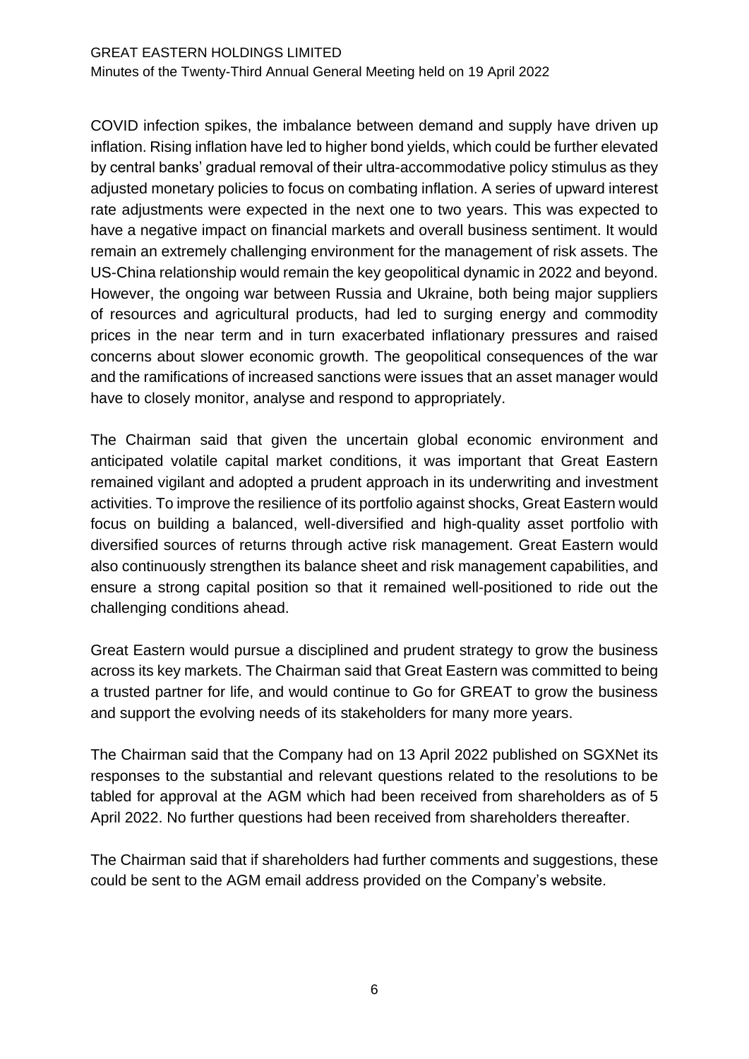COVID infection spikes, the imbalance between demand and supply have driven up inflation. Rising inflation have led to higher bond yields, which could be further elevated by central banks' gradual removal of their ultra-accommodative policy stimulus as they adjusted monetary policies to focus on combating inflation. A series of upward interest rate adjustments were expected in the next one to two years. This was expected to have a negative impact on financial markets and overall business sentiment. It would remain an extremely challenging environment for the management of risk assets. The US-China relationship would remain the key geopolitical dynamic in 2022 and beyond. However, the ongoing war between Russia and Ukraine, both being major suppliers of resources and agricultural products, had led to surging energy and commodity prices in the near term and in turn exacerbated inflationary pressures and raised concerns about slower economic growth. The geopolitical consequences of the war and the ramifications of increased sanctions were issues that an asset manager would have to closely monitor, analyse and respond to appropriately.

The Chairman said that given the uncertain global economic environment and anticipated volatile capital market conditions, it was important that Great Eastern remained vigilant and adopted a prudent approach in its underwriting and investment activities. To improve the resilience of its portfolio against shocks, Great Eastern would focus on building a balanced, well-diversified and high-quality asset portfolio with diversified sources of returns through active risk management. Great Eastern would also continuously strengthen its balance sheet and risk management capabilities, and ensure a strong capital position so that it remained well-positioned to ride out the challenging conditions ahead.

Great Eastern would pursue a disciplined and prudent strategy to grow the business across its key markets. The Chairman said that Great Eastern was committed to being a trusted partner for life, and would continue to Go for GREAT to grow the business and support the evolving needs of its stakeholders for many more years.

The Chairman said that the Company had on 13 April 2022 published on SGXNet its responses to the substantial and relevant questions related to the resolutions to be tabled for approval at the AGM which had been received from shareholders as of 5 April 2022. No further questions had been received from shareholders thereafter.

The Chairman said that if shareholders had further comments and suggestions, these could be sent to the AGM email address provided on the Company's website.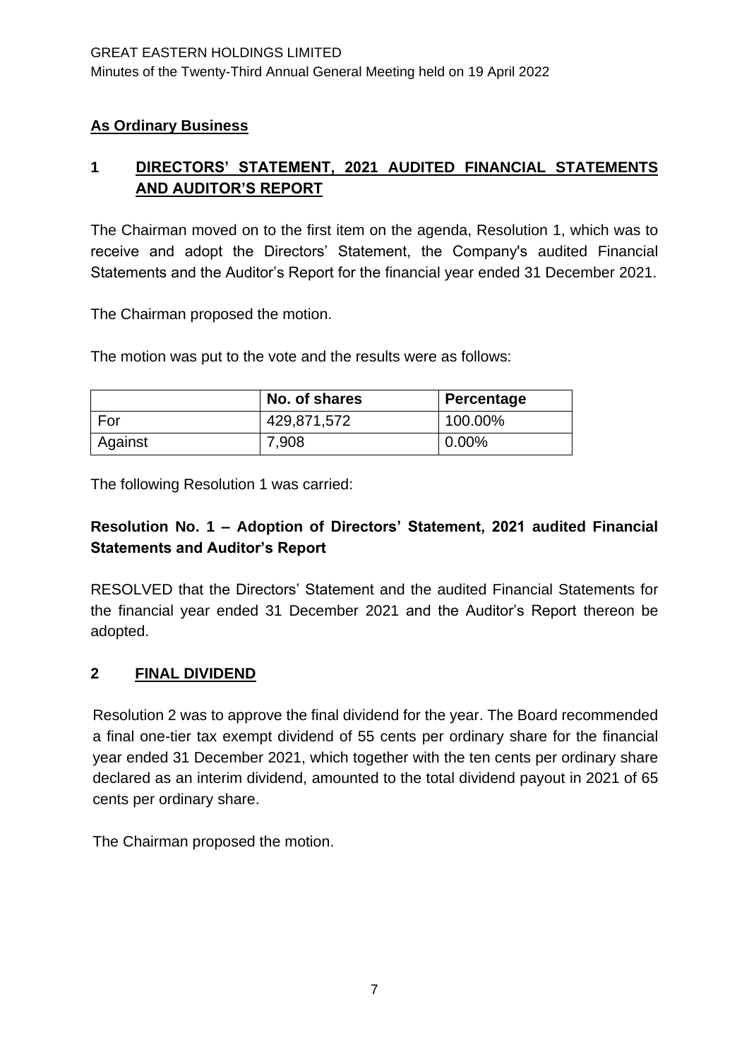# **As Ordinary Business**

# **1 DIRECTORS' STATEMENT, 2021 AUDITED FINANCIAL STATEMENTS AND AUDITOR'S REPORT**

The Chairman moved on to the first item on the agenda, Resolution 1, which was to receive and adopt the Directors' Statement, the Company's audited Financial Statements and the Auditor's Report for the financial year ended 31 December 2021.

The Chairman proposed the motion.

The motion was put to the vote and the results were as follows:

|         | No. of shares | Percentage |
|---------|---------------|------------|
| For     | 429,871,572   | 100.00%    |
| Against | 7,908         | $0.00\%$   |

The following Resolution 1 was carried:

# **Resolution No. 1 – Adoption of Directors' Statement, 2021 audited Financial Statements and Auditor's Report**

RESOLVED that the Directors' Statement and the audited Financial Statements for the financial year ended 31 December 2021 and the Auditor's Report thereon be adopted.

# **2 FINAL DIVIDEND**

Resolution 2 was to approve the final dividend for the year. The Board recommended a final one-tier tax exempt dividend of 55 cents per ordinary share for the financial year ended 31 December 2021, which together with the ten cents per ordinary share declared as an interim dividend, amounted to the total dividend payout in 2021 of 65 cents per ordinary share.

The Chairman proposed the motion.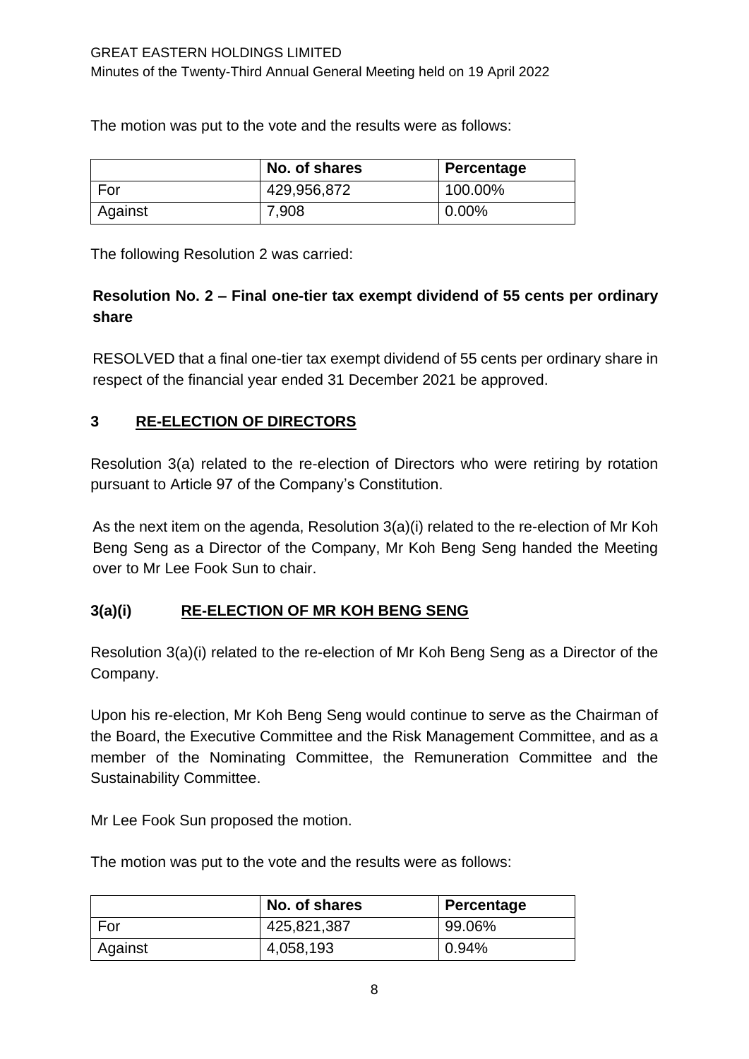The motion was put to the vote and the results were as follows:

|         | No. of shares | Percentage |
|---------|---------------|------------|
| For     | 429,956,872   | 100.00%    |
| Against | 7,908         | $0.00\%$   |

The following Resolution 2 was carried:

# **Resolution No. 2 – Final one-tier tax exempt dividend of 55 cents per ordinary share**

RESOLVED that a final one-tier tax exempt dividend of 55 cents per ordinary share in respect of the financial year ended 31 December 2021 be approved.

# **3 RE-ELECTION OF DIRECTORS**

Resolution 3(a) related to the re-election of Directors who were retiring by rotation pursuant to Article 97 of the Company's Constitution.

As the next item on the agenda, Resolution 3(a)(i) related to the re-election of Mr Koh Beng Seng as a Director of the Company, Mr Koh Beng Seng handed the Meeting over to Mr Lee Fook Sun to chair.

# **3(a)(i) RE-ELECTION OF MR KOH BENG SENG**

Resolution 3(a)(i) related to the re-election of Mr Koh Beng Seng as a Director of the Company.

Upon his re-election, Mr Koh Beng Seng would continue to serve as the Chairman of the Board, the Executive Committee and the Risk Management Committee, and as a member of the Nominating Committee, the Remuneration Committee and the Sustainability Committee.

Mr Lee Fook Sun proposed the motion.

The motion was put to the vote and the results were as follows:

|         | No. of shares | Percentage |
|---------|---------------|------------|
| For     | 425,821,387   | 99.06%     |
| Against | 4,058,193     | 0.94%      |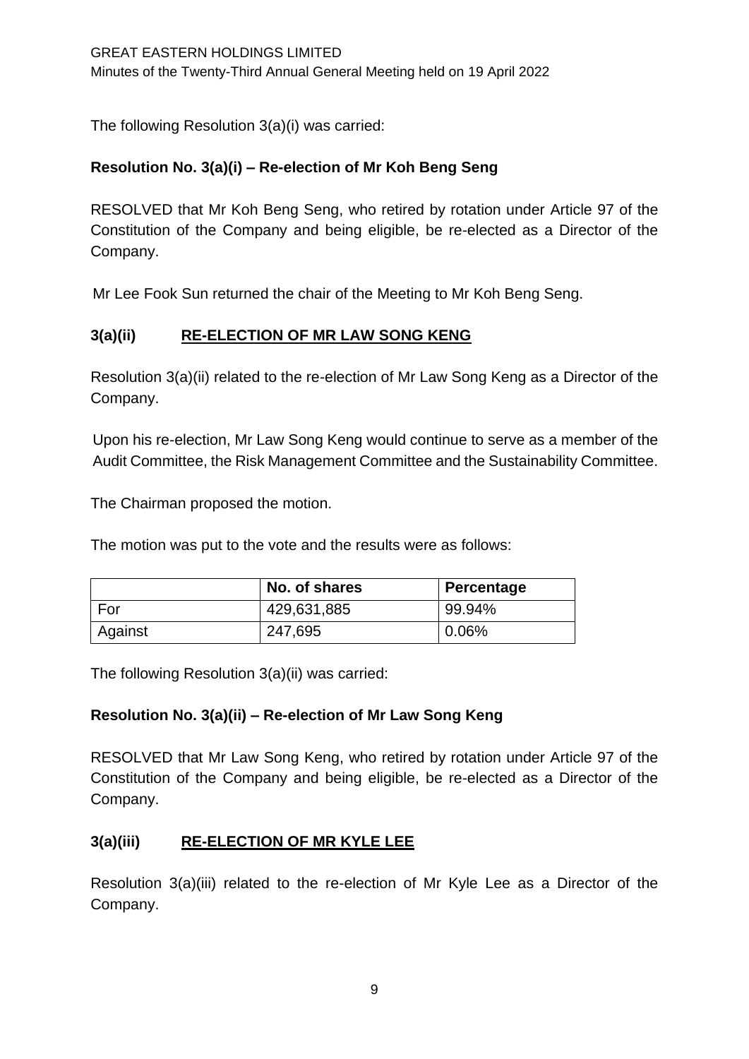The following Resolution 3(a)(i) was carried:

## **Resolution No. 3(a)(i) – Re-election of Mr Koh Beng Seng**

RESOLVED that Mr Koh Beng Seng, who retired by rotation under Article 97 of the Constitution of the Company and being eligible, be re-elected as a Director of the Company.

Mr Lee Fook Sun returned the chair of the Meeting to Mr Koh Beng Seng.

# **3(a)(ii) RE-ELECTION OF MR LAW SONG KENG**

Resolution 3(a)(ii) related to the re-election of Mr Law Song Keng as a Director of the Company.

Upon his re-election, Mr Law Song Keng would continue to serve as a member of the Audit Committee, the Risk Management Committee and the Sustainability Committee.

The Chairman proposed the motion.

The motion was put to the vote and the results were as follows:

|         | No. of shares | Percentage |
|---------|---------------|------------|
| For     | 429,631,885   | 99.94%     |
| Against | 247,695       | 0.06%      |

The following Resolution 3(a)(ii) was carried:

### **Resolution No. 3(a)(ii) – Re-election of Mr Law Song Keng**

RESOLVED that Mr Law Song Keng, who retired by rotation under Article 97 of the Constitution of the Company and being eligible, be re-elected as a Director of the Company.

### **3(a)(iii) RE-ELECTION OF MR KYLE LEE**

Resolution 3(a)(iii) related to the re-election of Mr Kyle Lee as a Director of the Company.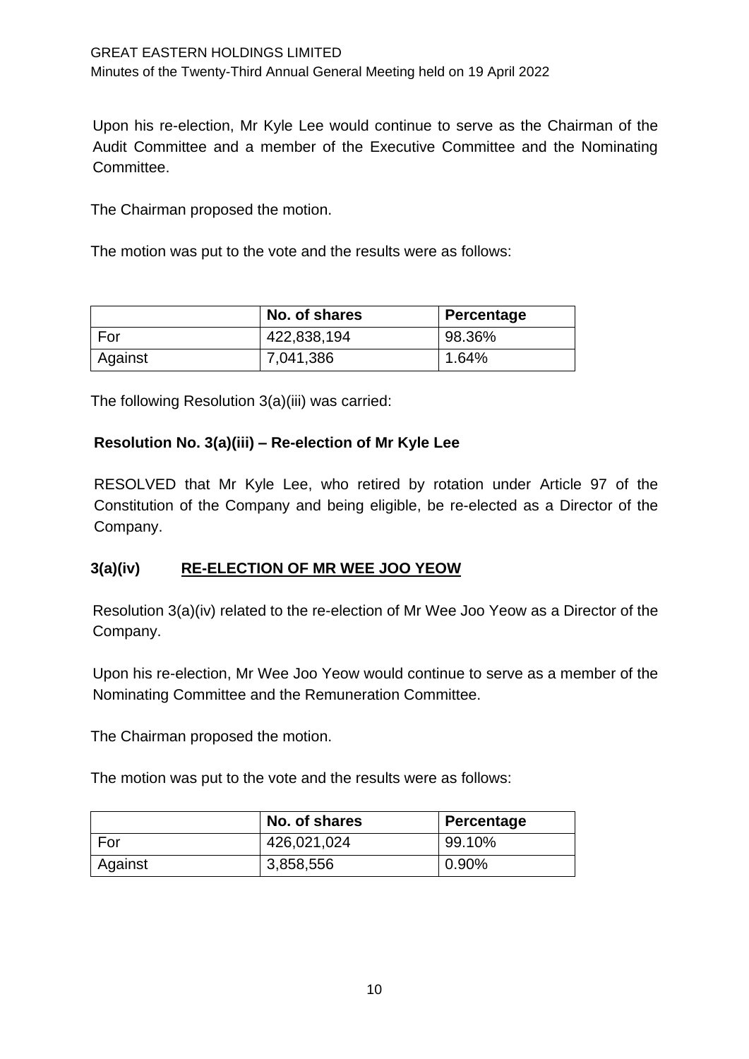Upon his re-election, Mr Kyle Lee would continue to serve as the Chairman of the Audit Committee and a member of the Executive Committee and the Nominating Committee.

The Chairman proposed the motion.

The motion was put to the vote and the results were as follows:

|         | No. of shares | Percentage |
|---------|---------------|------------|
| For     | 422,838,194   | 98.36%     |
| Against | 7,041,386     | 1.64%      |

The following Resolution 3(a)(iii) was carried:

### **Resolution No. 3(a)(iii) – Re-election of Mr Kyle Lee**

RESOLVED that Mr Kyle Lee, who retired by rotation under Article 97 of the Constitution of the Company and being eligible, be re-elected as a Director of the Company.

# **3(a)(iv) RE-ELECTION OF MR WEE JOO YEOW**

Resolution 3(a)(iv) related to the re-election of Mr Wee Joo Yeow as a Director of the Company.

Upon his re-election, Mr Wee Joo Yeow would continue to serve as a member of the Nominating Committee and the Remuneration Committee.

The Chairman proposed the motion.

The motion was put to the vote and the results were as follows:

|         | No. of shares | Percentage |
|---------|---------------|------------|
| For     | 426,021,024   | 99.10%     |
| Against | 3,858,556     | 0.90%      |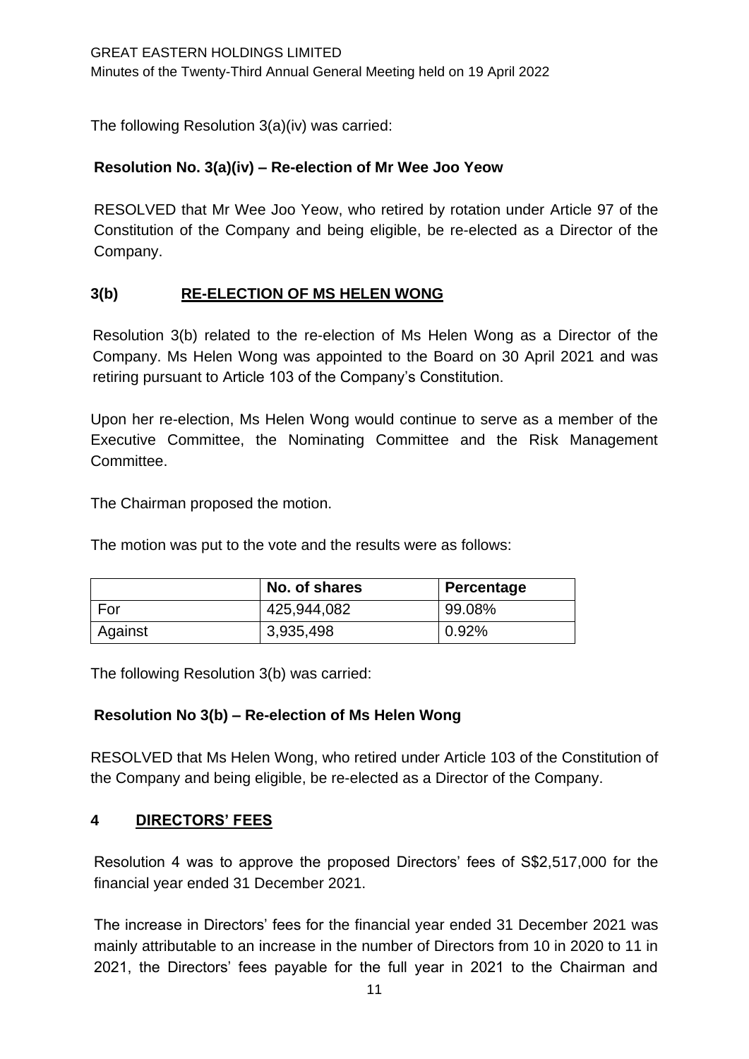The following Resolution 3(a)(iv) was carried:

## **Resolution No. 3(a)(iv) – Re-election of Mr Wee Joo Yeow**

RESOLVED that Mr Wee Joo Yeow, who retired by rotation under Article 97 of the Constitution of the Company and being eligible, be re-elected as a Director of the Company.

# **3(b) RE-ELECTION OF MS HELEN WONG**

Resolution 3(b) related to the re-election of Ms Helen Wong as a Director of the Company. Ms Helen Wong was appointed to the Board on 30 April 2021 and was retiring pursuant to Article 103 of the Company's Constitution.

Upon her re-election, Ms Helen Wong would continue to serve as a member of the Executive Committee, the Nominating Committee and the Risk Management Committee.

The Chairman proposed the motion.

The motion was put to the vote and the results were as follows:

|         | No. of shares | Percentage |
|---------|---------------|------------|
| For     | 425,944,082   | 99.08%     |
| Against | 3,935,498     | 0.92%      |

The following Resolution 3(b) was carried:

### **Resolution No 3(b) – Re-election of Ms Helen Wong**

RESOLVED that Ms Helen Wong, who retired under Article 103 of the Constitution of the Company and being eligible, be re-elected as a Director of the Company.

### **4 DIRECTORS' FEES**

Resolution 4 was to approve the proposed Directors' fees of S\$2,517,000 for the financial year ended 31 December 2021.

The increase in Directors' fees for the financial year ended 31 December 2021 was mainly attributable to an increase in the number of Directors from 10 in 2020 to 11 in 2021, the Directors' fees payable for the full year in 2021 to the Chairman and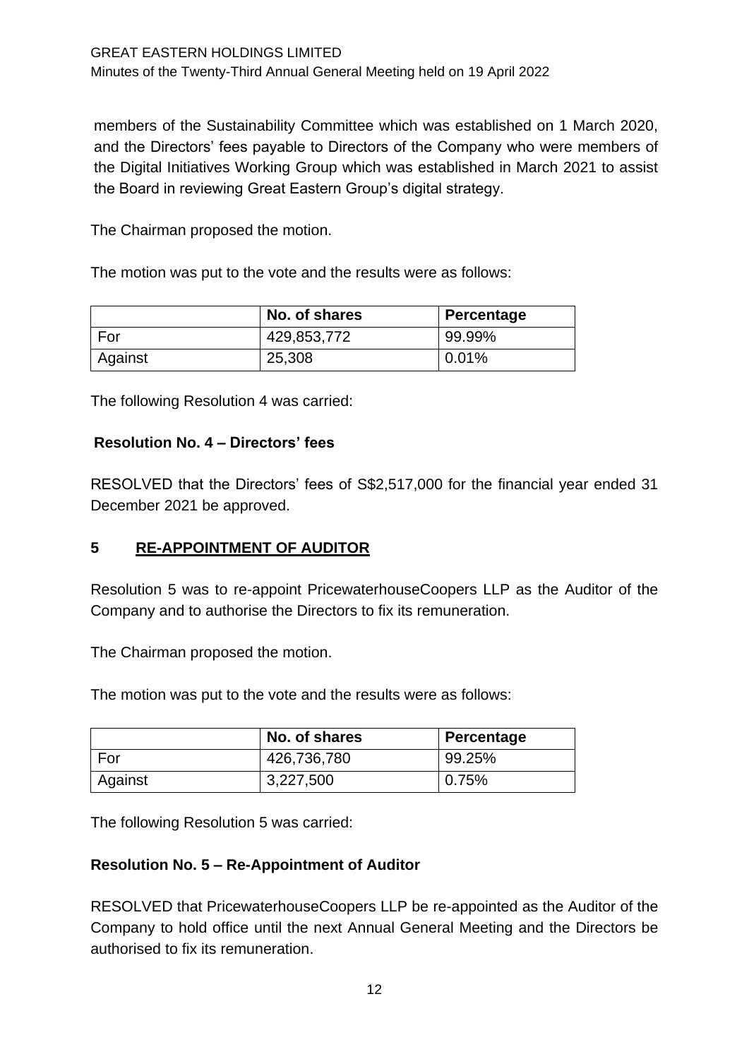members of the Sustainability Committee which was established on 1 March 2020, and the Directors' fees payable to Directors of the Company who were members of the Digital Initiatives Working Group which was established in March 2021 to assist the Board in reviewing Great Eastern Group's digital strategy.

The Chairman proposed the motion.

The motion was put to the vote and the results were as follows:

|         | No. of shares | Percentage |
|---------|---------------|------------|
| For     | 429,853,772   | 99.99%     |
| Against | 25,308        | $0.01\%$   |

The following Resolution 4 was carried:

### **Resolution No. 4 – Directors' fees**

RESOLVED that the Directors' fees of S\$2,517,000 for the financial year ended 31 December 2021 be approved.

# **5 RE-APPOINTMENT OF AUDITOR**

Resolution 5 was to re-appoint PricewaterhouseCoopers LLP as the Auditor of the Company and to authorise the Directors to fix its remuneration.

The Chairman proposed the motion.

The motion was put to the vote and the results were as follows:

|         | No. of shares | Percentage |
|---------|---------------|------------|
| For     | 426,736,780   | 99.25%     |
| Against | 3,227,500     | 0.75%      |

The following Resolution 5 was carried:

### **Resolution No. 5 – Re-Appointment of Auditor**

RESOLVED that PricewaterhouseCoopers LLP be re-appointed as the Auditor of the Company to hold office until the next Annual General Meeting and the Directors be authorised to fix its remuneration.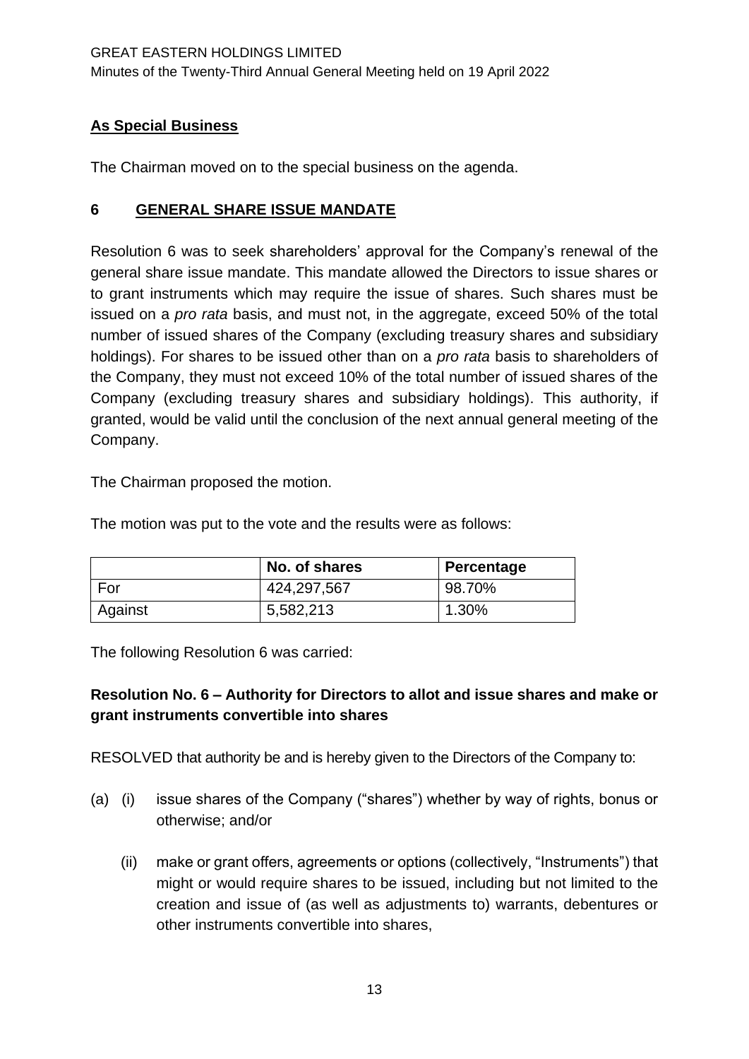# **As Special Business**

The Chairman moved on to the special business on the agenda.

## **6 GENERAL SHARE ISSUE MANDATE**

Resolution 6 was to seek shareholders' approval for the Company's renewal of the general share issue mandate. This mandate allowed the Directors to issue shares or to grant instruments which may require the issue of shares. Such shares must be issued on a *pro rata* basis, and must not, in the aggregate, exceed 50% of the total number of issued shares of the Company (excluding treasury shares and subsidiary holdings). For shares to be issued other than on a *pro rata* basis to shareholders of the Company, they must not exceed 10% of the total number of issued shares of the Company (excluding treasury shares and subsidiary holdings). This authority, if granted, would be valid until the conclusion of the next annual general meeting of the Company.

The Chairman proposed the motion.

The motion was put to the vote and the results were as follows:

|         | No. of shares | Percentage |
|---------|---------------|------------|
| For     | 424,297,567   | 98.70%     |
| Against | 5,582,213     | 1.30%      |

The following Resolution 6 was carried:

# **Resolution No. 6 – Authority for Directors to allot and issue shares and make or grant instruments convertible into shares**

RESOLVED that authority be and is hereby given to the Directors of the Company to:

- (a) (i) issue shares of the Company ("shares") whether by way of rights, bonus or otherwise; and/or
	- (ii) make or grant offers, agreements or options (collectively, "Instruments") that might or would require shares to be issued, including but not limited to the creation and issue of (as well as adjustments to) warrants, debentures or other instruments convertible into shares,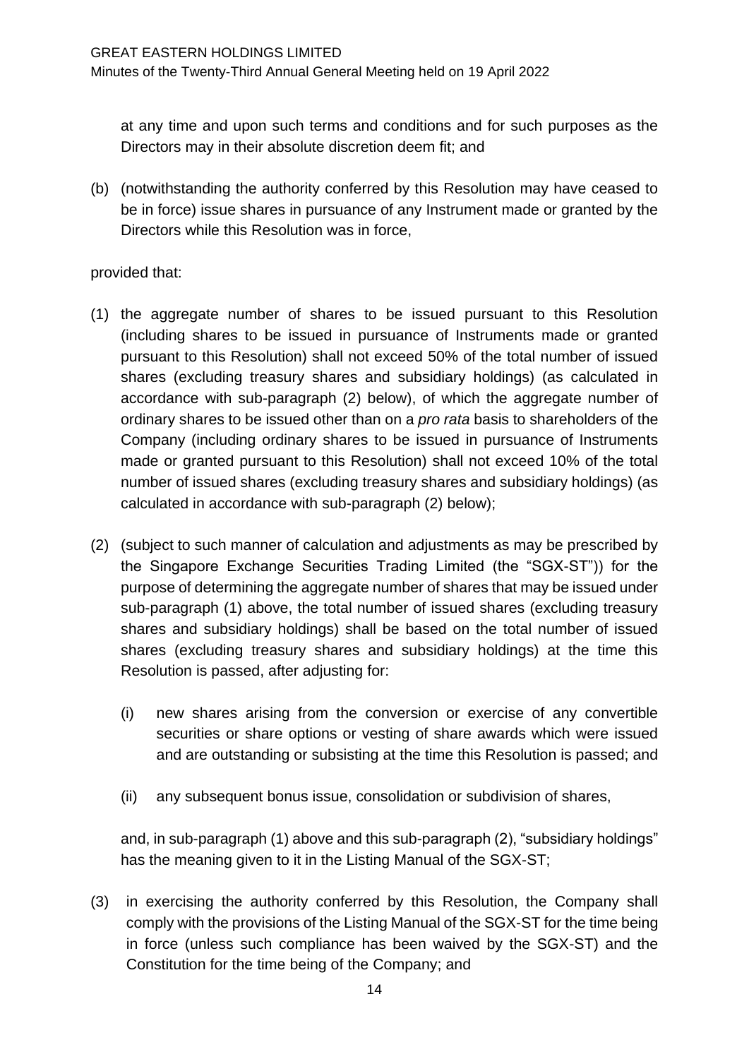at any time and upon such terms and conditions and for such purposes as the Directors may in their absolute discretion deem fit; and

(b) (notwithstanding the authority conferred by this Resolution may have ceased to be in force) issue shares in pursuance of any Instrument made or granted by the Directors while this Resolution was in force,

## provided that:

- (1) the aggregate number of shares to be issued pursuant to this Resolution (including shares to be issued in pursuance of Instruments made or granted pursuant to this Resolution) shall not exceed 50% of the total number of issued shares (excluding treasury shares and subsidiary holdings) (as calculated in accordance with sub-paragraph (2) below), of which the aggregate number of ordinary shares to be issued other than on a *pro rata* basis to shareholders of the Company (including ordinary shares to be issued in pursuance of Instruments made or granted pursuant to this Resolution) shall not exceed 10% of the total number of issued shares (excluding treasury shares and subsidiary holdings) (as calculated in accordance with sub-paragraph (2) below);
- (2) (subject to such manner of calculation and adjustments as may be prescribed by the Singapore Exchange Securities Trading Limited (the "SGX-ST")) for the purpose of determining the aggregate number of shares that may be issued under sub-paragraph (1) above, the total number of issued shares (excluding treasury shares and subsidiary holdings) shall be based on the total number of issued shares (excluding treasury shares and subsidiary holdings) at the time this Resolution is passed, after adjusting for:
	- (i) new shares arising from the conversion or exercise of any convertible securities or share options or vesting of share awards which were issued and are outstanding or subsisting at the time this Resolution is passed; and
	- (ii) any subsequent bonus issue, consolidation or subdivision of shares,

and, in sub-paragraph (1) above and this sub-paragraph (2), "subsidiary holdings" has the meaning given to it in the Listing Manual of the SGX-ST;

(3) in exercising the authority conferred by this Resolution, the Company shall comply with the provisions of the Listing Manual of the SGX-ST for the time being in force (unless such compliance has been waived by the SGX-ST) and the Constitution for the time being of the Company; and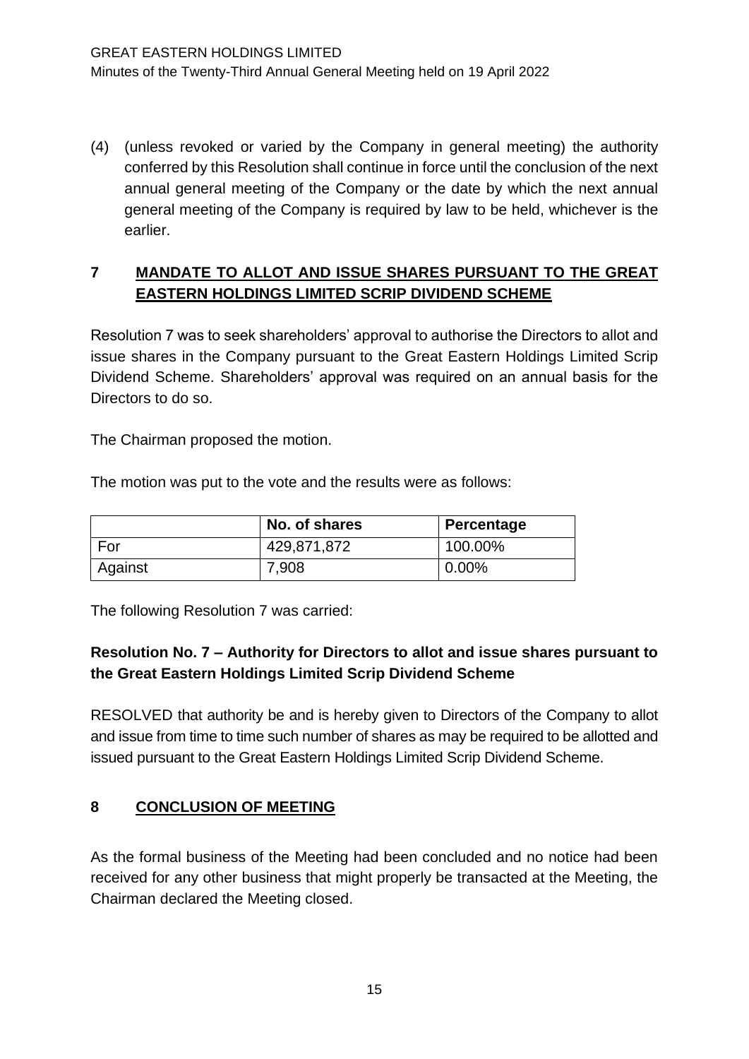(4) (unless revoked or varied by the Company in general meeting) the authority conferred by this Resolution shall continue in force until the conclusion of the next annual general meeting of the Company or the date by which the next annual general meeting of the Company is required by law to be held, whichever is the earlier.

# **7 MANDATE TO ALLOT AND ISSUE SHARES PURSUANT TO THE GREAT EASTERN HOLDINGS LIMITED SCRIP DIVIDEND SCHEME**

Resolution 7 was to seek shareholders' approval to authorise the Directors to allot and issue shares in the Company pursuant to the Great Eastern Holdings Limited Scrip Dividend Scheme. Shareholders' approval was required on an annual basis for the Directors to do so.

The Chairman proposed the motion.

The motion was put to the vote and the results were as follows:

|         | No. of shares | Percentage |
|---------|---------------|------------|
| For     | 429,871,872   | 100.00%    |
| Against | 7,908         | 0.00%      |

The following Resolution 7 was carried:

# **Resolution No. 7 – Authority for Directors to allot and issue shares pursuant to the Great Eastern Holdings Limited Scrip Dividend Scheme**

RESOLVED that authority be and is hereby given to Directors of the Company to allot and issue from time to time such number of shares as may be required to be allotted and issued pursuant to the Great Eastern Holdings Limited Scrip Dividend Scheme.

# **8 CONCLUSION OF MEETING**

As the formal business of the Meeting had been concluded and no notice had been received for any other business that might properly be transacted at the Meeting, the Chairman declared the Meeting closed.